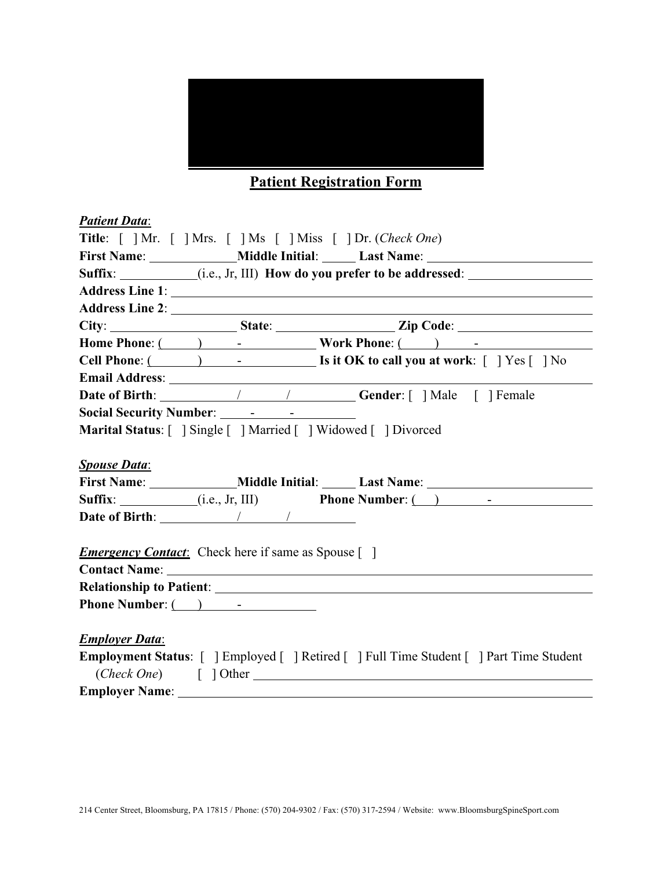

### **Patient Registration Form**

| <b>Patient Data:</b>  |                                                                                                                                                                                                                                           |                                                                                                                                                                                                                                                                                                                                                                                                                                                                       |
|-----------------------|-------------------------------------------------------------------------------------------------------------------------------------------------------------------------------------------------------------------------------------------|-----------------------------------------------------------------------------------------------------------------------------------------------------------------------------------------------------------------------------------------------------------------------------------------------------------------------------------------------------------------------------------------------------------------------------------------------------------------------|
|                       |                                                                                                                                                                                                                                           | Title: [ ] Mr. [ ] Mrs. [ ] Ms [ ] Miss [ ] Dr. (Check One)                                                                                                                                                                                                                                                                                                                                                                                                           |
|                       |                                                                                                                                                                                                                                           |                                                                                                                                                                                                                                                                                                                                                                                                                                                                       |
|                       |                                                                                                                                                                                                                                           | Suffix: _________(i.e., Jr, III) How do you prefer to be addressed: _____________                                                                                                                                                                                                                                                                                                                                                                                     |
|                       |                                                                                                                                                                                                                                           |                                                                                                                                                                                                                                                                                                                                                                                                                                                                       |
|                       |                                                                                                                                                                                                                                           |                                                                                                                                                                                                                                                                                                                                                                                                                                                                       |
|                       |                                                                                                                                                                                                                                           |                                                                                                                                                                                                                                                                                                                                                                                                                                                                       |
|                       |                                                                                                                                                                                                                                           | Home Phone: ( ) - Work Phone: ( ) - The Music Phone ( ) - The Music Phone ( ) - The Music Phone ( ) and ( ) and ( ) is contained by the Music Phone ( ) and ( ) is contained by the Music Phone ( ) and ( ) is contained by th                                                                                                                                                                                                                                        |
|                       |                                                                                                                                                                                                                                           | Cell Phone: ( ) - [ ] Is it OK to call you at work: [ ] Yes [ ] No                                                                                                                                                                                                                                                                                                                                                                                                    |
|                       | <b>Email Address:</b> <u>Contract of the Contract of the Contract of the Contract of the Contract of the Contract of the Contract of the Contract of the Contract of the Contract of the Contract of the Contract of the Contract of </u> |                                                                                                                                                                                                                                                                                                                                                                                                                                                                       |
|                       |                                                                                                                                                                                                                                           |                                                                                                                                                                                                                                                                                                                                                                                                                                                                       |
|                       |                                                                                                                                                                                                                                           |                                                                                                                                                                                                                                                                                                                                                                                                                                                                       |
|                       |                                                                                                                                                                                                                                           | Marital Status: [ ] Single [ ] Married [ ] Widowed [ ] Divorced                                                                                                                                                                                                                                                                                                                                                                                                       |
|                       |                                                                                                                                                                                                                                           |                                                                                                                                                                                                                                                                                                                                                                                                                                                                       |
|                       |                                                                                                                                                                                                                                           |                                                                                                                                                                                                                                                                                                                                                                                                                                                                       |
| <b>Spouse Data:</b>   |                                                                                                                                                                                                                                           |                                                                                                                                                                                                                                                                                                                                                                                                                                                                       |
|                       |                                                                                                                                                                                                                                           | First Name: ________________Middle Initial: _______Last Name: ___________________                                                                                                                                                                                                                                                                                                                                                                                     |
|                       |                                                                                                                                                                                                                                           | <b>Suffix:</b> $(i.e., Jr, III)$ <b>Phone Number:</b> $(i.e., Jr, III)$ <b>Phone Number:</b> $(i.e., Y, III)$ <b>Phone Number:</b> $(i.e., Y, III)$                                                                                                                                                                                                                                                                                                                   |
|                       |                                                                                                                                                                                                                                           |                                                                                                                                                                                                                                                                                                                                                                                                                                                                       |
|                       |                                                                                                                                                                                                                                           |                                                                                                                                                                                                                                                                                                                                                                                                                                                                       |
|                       | <b>Emergency Contact:</b> Check here if same as Spouse []                                                                                                                                                                                 |                                                                                                                                                                                                                                                                                                                                                                                                                                                                       |
|                       |                                                                                                                                                                                                                                           |                                                                                                                                                                                                                                                                                                                                                                                                                                                                       |
|                       |                                                                                                                                                                                                                                           | Contact Name: 1988 and 2008 and 2008 and 2008 and 2008 and 2008 and 2008 and 2008 and 2008 and 2008 and 2008 and 2008 and 2008 and 2008 and 2008 and 2008 and 2008 and 2008 and 2008 and 2008 and 2008 and 2008 and 2008 and 2<br><b>Relationship to Patient:</b> Network of Patient and Security of Patient and Security of Patient and Security of Patient and Security of Patient and Security of Patient and Security of Patient and Security of Patient and Secu |
|                       | Phone Number: $\qquad \qquad$ -                                                                                                                                                                                                           |                                                                                                                                                                                                                                                                                                                                                                                                                                                                       |
|                       |                                                                                                                                                                                                                                           |                                                                                                                                                                                                                                                                                                                                                                                                                                                                       |
| <b>Employer Data:</b> |                                                                                                                                                                                                                                           |                                                                                                                                                                                                                                                                                                                                                                                                                                                                       |
|                       |                                                                                                                                                                                                                                           | Employment Status: [ ] Employed [ ] Retired [ ] Full Time Student [ ] Part Time Student                                                                                                                                                                                                                                                                                                                                                                               |
|                       |                                                                                                                                                                                                                                           | $(Check One)$ [ ] Other                                                                                                                                                                                                                                                                                                                                                                                                                                               |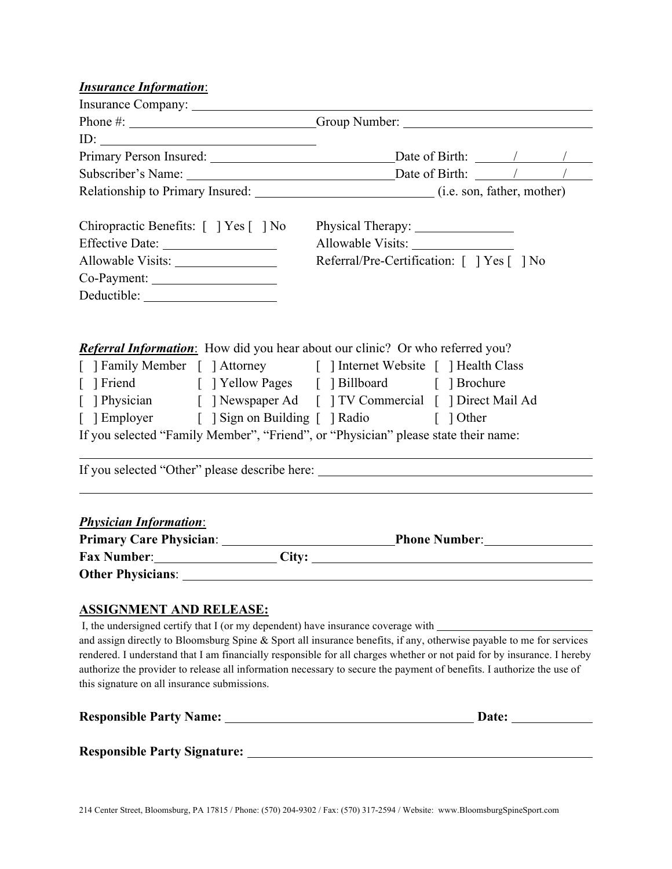### *Insurance Information*:

| Phone #: _______________________________Group Number: ___________________________                                                                                                                                                      |                                            |       |  |
|----------------------------------------------------------------------------------------------------------------------------------------------------------------------------------------------------------------------------------------|--------------------------------------------|-------|--|
| ID: $\qquad \qquad$                                                                                                                                                                                                                    |                                            |       |  |
| Primary Person Insured: Date of Birth: 1 1                                                                                                                                                                                             |                                            |       |  |
|                                                                                                                                                                                                                                        |                                            |       |  |
|                                                                                                                                                                                                                                        |                                            |       |  |
|                                                                                                                                                                                                                                        |                                            |       |  |
| Chiropractic Benefits: [ ] Yes [ ] No                                                                                                                                                                                                  |                                            |       |  |
|                                                                                                                                                                                                                                        |                                            |       |  |
|                                                                                                                                                                                                                                        | Referral/Pre-Certification: [ ] Yes [ ] No |       |  |
|                                                                                                                                                                                                                                        |                                            |       |  |
|                                                                                                                                                                                                                                        |                                            |       |  |
|                                                                                                                                                                                                                                        |                                            |       |  |
|                                                                                                                                                                                                                                        |                                            |       |  |
| <b>Referral Information:</b> How did you hear about our clinic? Or who referred you?                                                                                                                                                   |                                            |       |  |
| [ ] Family Member [ ] Attorney [ ] Internet Website [ ] Health Class                                                                                                                                                                   |                                            |       |  |
| [ ] Friend [ ] Yellow Pages [ ] Billboard [ ] Brochure                                                                                                                                                                                 |                                            |       |  |
| [ ] Physician [ ] Newspaper Ad [ ] TV Commercial [ ] Direct Mail Ad                                                                                                                                                                    |                                            |       |  |
| [ ] Employer [ ] Sign on Building [ ] Radio [ ] Other                                                                                                                                                                                  |                                            |       |  |
| If you selected "Family Member", "Friend", or "Physician" please state their name:                                                                                                                                                     |                                            |       |  |
| If you selected "Other" please describe here: __________________________________                                                                                                                                                       |                                            |       |  |
|                                                                                                                                                                                                                                        |                                            |       |  |
| <b>Physician Information:</b>                                                                                                                                                                                                          |                                            |       |  |
|                                                                                                                                                                                                                                        |                                            |       |  |
| Fax Number: City: City:                                                                                                                                                                                                                |                                            |       |  |
|                                                                                                                                                                                                                                        |                                            |       |  |
|                                                                                                                                                                                                                                        |                                            |       |  |
| <b>ASSIGNMENT AND RELEASE:</b>                                                                                                                                                                                                         |                                            |       |  |
| I, the undersigned certify that I (or my dependent) have insurance coverage with _____________________________<br>and assign directly to Bloomsburg Spine & Sport all insurance benefits, if any, otherwise payable to me for services |                                            |       |  |
| rendered. I understand that I am financially responsible for all charges whether or not paid for by insurance. I hereby                                                                                                                |                                            |       |  |
| authorize the provider to release all information necessary to secure the payment of benefits. I authorize the use of                                                                                                                  |                                            |       |  |
| this signature on all insurance submissions.                                                                                                                                                                                           |                                            |       |  |
|                                                                                                                                                                                                                                        |                                            |       |  |
|                                                                                                                                                                                                                                        |                                            | Date: |  |

**Responsible Party Signature:**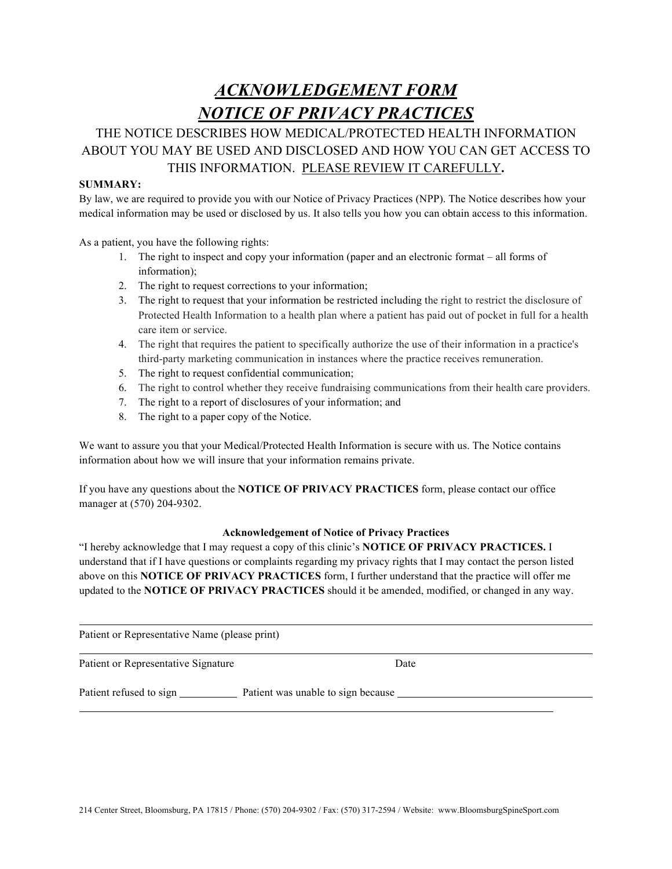# *ACKNOWLEDGEMENT FORM NOTICE OF PRIVACY PRACTICES*

### THE NOTICE DESCRIBES HOW MEDICAL/PROTECTED HEALTH INFORMATION ABOUT YOU MAY BE USED AND DISCLOSED AND HOW YOU CAN GET ACCESS TO THIS INFORMATION. PLEASE REVIEW IT CAREFULLY**.**

#### **SUMMARY:**

By law, we are required to provide you with our Notice of Privacy Practices (NPP). The Notice describes how your medical information may be used or disclosed by us. It also tells you how you can obtain access to this information.

As a patient, you have the following rights:

- 1. The right to inspect and copy your information (paper and an electronic format all forms of information);
- 2. The right to request corrections to your information;
- 3. The right to request that your information be restricted including the right to restrict the disclosure of Protected Health Information to a health plan where a patient has paid out of pocket in full for a health care item or service.
- 4. The right that requires the patient to specifically authorize the use of their information in a practice's third-party marketing communication in instances where the practice receives remuneration.
- 5. The right to request confidential communication;
- 6. The right to control whether they receive fundraising communications from their health care providers.
- 7. The right to a report of disclosures of your information; and
- 8. The right to a paper copy of the Notice.

We want to assure you that your Medical/Protected Health Information is secure with us. The Notice contains information about how we will insure that your information remains private.

If you have any questions about the **NOTICE OF PRIVACY PRACTICES** form, please contact our office manager at (570) 204-9302.

#### **Acknowledgement of Notice of Privacy Practices**

"I hereby acknowledge that I may request a copy of this clinic's **NOTICE OF PRIVACY PRACTICES.** I understand that if I have questions or complaints regarding my privacy rights that I may contact the person listed above on this **NOTICE OF PRIVACY PRACTICES** form, I further understand that the practice will offer me updated to the **NOTICE OF PRIVACY PRACTICES** should it be amended, modified, or changed in any way.

Patient or Representative Name (please print)

Patient or Representative Signature Date

Patient refused to sign Patient was unable to sign because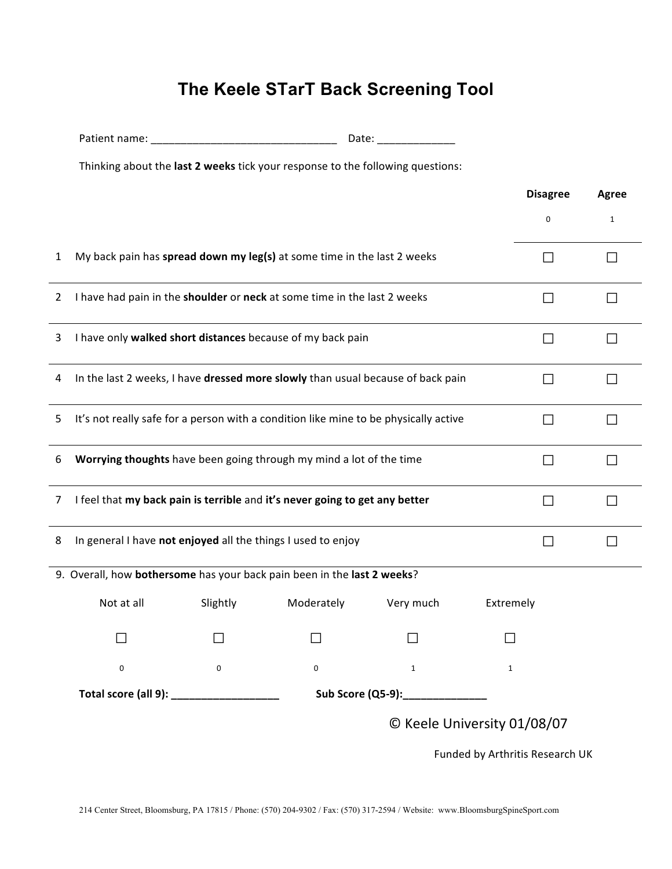# **The Keele STarT Back Screening Tool**

|              | Thinking about the last 2 weeks tick your response to the following questions:       |                 |                                                                         |                                  |                                 |              |  |
|--------------|--------------------------------------------------------------------------------------|-----------------|-------------------------------------------------------------------------|----------------------------------|---------------------------------|--------------|--|
|              |                                                                                      | <b>Disagree</b> | Agree                                                                   |                                  |                                 |              |  |
|              |                                                                                      |                 |                                                                         |                                  | 0                               | $\mathbf{1}$ |  |
| 1            |                                                                                      |                 | My back pain has spread down my leg(s) at some time in the last 2 weeks |                                  | П                               |              |  |
| $\mathbf{2}$ | I have had pain in the shoulder or neck at some time in the last 2 weeks             | П               |                                                                         |                                  |                                 |              |  |
| 3            | I have only walked short distances because of my back pain                           | $\Box$          | $\mathsf{L}$                                                            |                                  |                                 |              |  |
| 4            | In the last 2 weeks, I have dressed more slowly than usual because of back pain      | $\Box$          | l 1                                                                     |                                  |                                 |              |  |
| 5            | It's not really safe for a person with a condition like mine to be physically active | $\Box$          | П                                                                       |                                  |                                 |              |  |
| 6            | $\Box$                                                                               | $\Box$          |                                                                         |                                  |                                 |              |  |
| 7            | I feel that my back pain is terrible and it's never going to get any better<br>П     |                 |                                                                         |                                  |                                 |              |  |
| 8            | In general I have not enjoyed all the things I used to enjoy<br>$\Box$               |                 |                                                                         |                                  |                                 |              |  |
|              | 9. Overall, how bothersome has your back pain been in the last 2 weeks?              |                 |                                                                         |                                  |                                 |              |  |
|              | Not at all                                                                           | Slightly        | Moderately                                                              | Very much                        | Extremely                       |              |  |
|              |                                                                                      |                 |                                                                         |                                  |                                 |              |  |
|              | $\mathbf 0$                                                                          | $\mathbf 0$     | 0                                                                       | $\mathbf{1}$                     | 1                               |              |  |
|              | Total score (all 9): ___________________                                             |                 |                                                                         | Sub Score (Q5-9):_______________ |                                 |              |  |
|              |                                                                                      |                 |                                                                         |                                  | © Keele University 01/08/07     |              |  |
|              |                                                                                      |                 |                                                                         |                                  | Funded by Arthritis Research UK |              |  |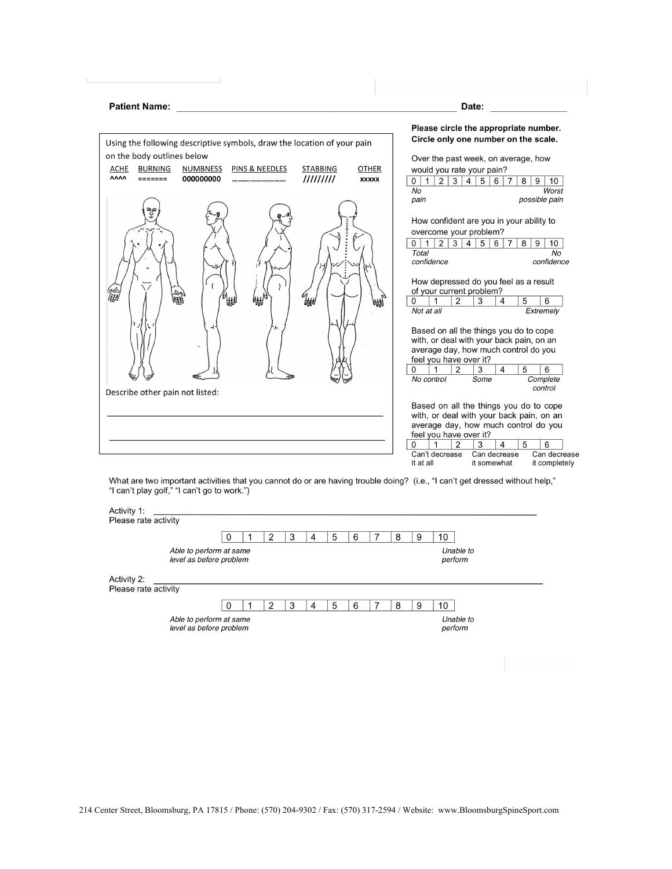| <b>Patient Name:</b>                                                                                                                                                                          | Date:                                                                                                                                                                                                                                                                                                                                                                                                                                                                                                                                                                                                                                                         |
|-----------------------------------------------------------------------------------------------------------------------------------------------------------------------------------------------|---------------------------------------------------------------------------------------------------------------------------------------------------------------------------------------------------------------------------------------------------------------------------------------------------------------------------------------------------------------------------------------------------------------------------------------------------------------------------------------------------------------------------------------------------------------------------------------------------------------------------------------------------------------|
| Using the following descriptive symbols, draw the location of your pain                                                                                                                       | Please circle the appropriate number.<br>Circle only one number on the scale.                                                                                                                                                                                                                                                                                                                                                                                                                                                                                                                                                                                 |
| on the body outlines below<br><b>NUMBNESS</b><br><b>PINS &amp; NEEDLES</b><br><b>STABBING</b><br><b>BURNING</b><br><b>OTHER</b><br>ACHE<br><b>AAAA</b><br>111111111<br>000000000<br>XXXXX<br> | Over the past week, on average, how<br>would you rate your pain?<br>2 3 4 5<br>1 <sup>1</sup><br>6<br>8<br>9<br>10<br>0 <sup>1</sup><br>7<br>No<br>Worst                                                                                                                                                                                                                                                                                                                                                                                                                                                                                                      |
| Describe other pain not listed:                                                                                                                                                               | possible pain<br>pain<br>How confident are you in your ability to<br>overcome your problem?<br>2 3 4 <br>$\mathbf{1}$<br>5 <sup>5</sup><br>0 <sup>1</sup><br>6<br>7<br>8<br>9<br>10<br>Total<br>No<br>confidence<br>confidence<br>How depressed do you feel as a result<br>of your current problem?<br>5<br>6<br>0<br>$\overline{2}$<br>3<br>1<br>$\overline{4}$<br>Not at all<br>Extremely<br>Based on all the things you do to cope<br>with, or deal with your back pain, on an<br>average day, how much control do you<br>feel you have over it?<br>$\overline{2}$<br>$\overline{4}$<br>5<br>6<br>3<br>0<br>1<br>No control<br>Some<br>Complete<br>control |
|                                                                                                                                                                                               | Based on all the things you do to cope<br>with, or deal with your back pain, on an<br>average day, how much control do you<br>feel you have over it?<br>$\Omega$<br>$\overline{2}$<br>3<br>$\overline{\mathbf{4}}$<br>5<br>6<br>1                                                                                                                                                                                                                                                                                                                                                                                                                             |

|                                     |                                                    | 0 | 2 | 3 | 4 | 5 | 6 | 8 | 9 | 10                   |  |
|-------------------------------------|----------------------------------------------------|---|---|---|---|---|---|---|---|----------------------|--|
|                                     | Able to perform at same<br>level as before problem |   |   |   |   |   |   |   |   | Unable to<br>perform |  |
| Activity 2:<br>Please rate activity |                                                    |   |   |   |   |   |   |   |   |                      |  |
|                                     |                                                    |   | 2 | 3 | 4 | 5 | 6 | 8 | 9 | 10                   |  |
|                                     | Able to perform at same<br>level as before problem |   |   |   |   |   |   |   |   | Unable to<br>perform |  |

214 Center Street, Bloomsburg, PA 17815 / Phone: (570) 204-9302 / Fax: (570) 317-2594 / Website: www.BloomsburgSpineSport.com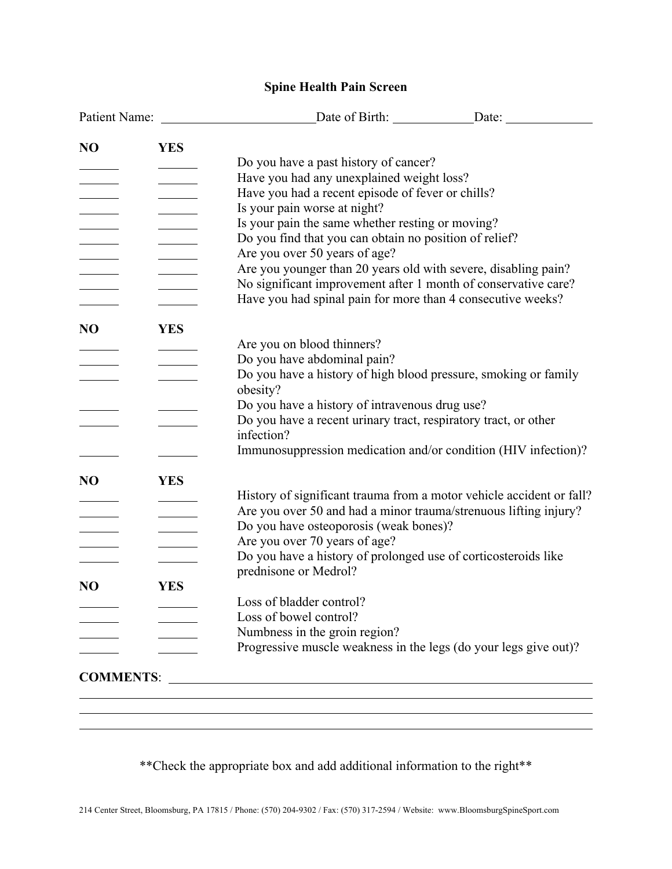### **Spine Health Pain Screen**

| N <sub>O</sub>           | <b>YES</b>                      |                                                                      |  |
|--------------------------|---------------------------------|----------------------------------------------------------------------|--|
|                          |                                 | Do you have a past history of cancer?                                |  |
|                          |                                 | Have you had any unexplained weight loss?                            |  |
|                          |                                 | Have you had a recent episode of fever or chills?                    |  |
| <b>Contract Contract</b> |                                 | Is your pain worse at night?                                         |  |
|                          |                                 | Is your pain the same whether resting or moving?                     |  |
|                          |                                 | Do you find that you can obtain no position of relief?               |  |
|                          |                                 | Are you over 50 years of age?                                        |  |
|                          |                                 | Are you younger than 20 years old with severe, disabling pain?       |  |
|                          |                                 | No significant improvement after 1 month of conservative care?       |  |
|                          |                                 | Have you had spinal pain for more than 4 consecutive weeks?          |  |
| N <sub>O</sub>           | <b>YES</b>                      |                                                                      |  |
|                          |                                 | Are you on blood thinners?                                           |  |
|                          |                                 | Do you have abdominal pain?                                          |  |
|                          |                                 | Do you have a history of high blood pressure, smoking or family      |  |
|                          |                                 | obesity?                                                             |  |
|                          |                                 | Do you have a history of intravenous drug use?                       |  |
|                          |                                 | Do you have a recent urinary tract, respiratory tract, or other      |  |
|                          |                                 | infection?                                                           |  |
|                          |                                 | Immunosuppression medication and/or condition (HIV infection)?       |  |
| N <sub>O</sub>           | <b>YES</b>                      |                                                                      |  |
|                          |                                 | History of significant trauma from a motor vehicle accident or fall? |  |
|                          | the contract of the contract of | Are you over 50 and had a minor trauma/strenuous lifting injury?     |  |
|                          | <u>and the community</u>        | Do you have osteoporosis (weak bones)?                               |  |
|                          |                                 | Are you over 70 years of age?                                        |  |
|                          |                                 | Do you have a history of prolonged use of corticosteroids like       |  |
|                          |                                 | prednisone or Medrol?                                                |  |
| N <sub>O</sub>           | <b>YES</b>                      |                                                                      |  |
|                          |                                 | Loss of bladder control?                                             |  |
|                          |                                 | Loss of bowel control?                                               |  |
|                          |                                 | Numbness in the groin region?                                        |  |
|                          |                                 | Progressive muscle weakness in the legs (do your legs give out)?     |  |
| <b>COMMENTS:</b>         |                                 |                                                                      |  |

\*\*Check the appropriate box and add additional information to the right\*\*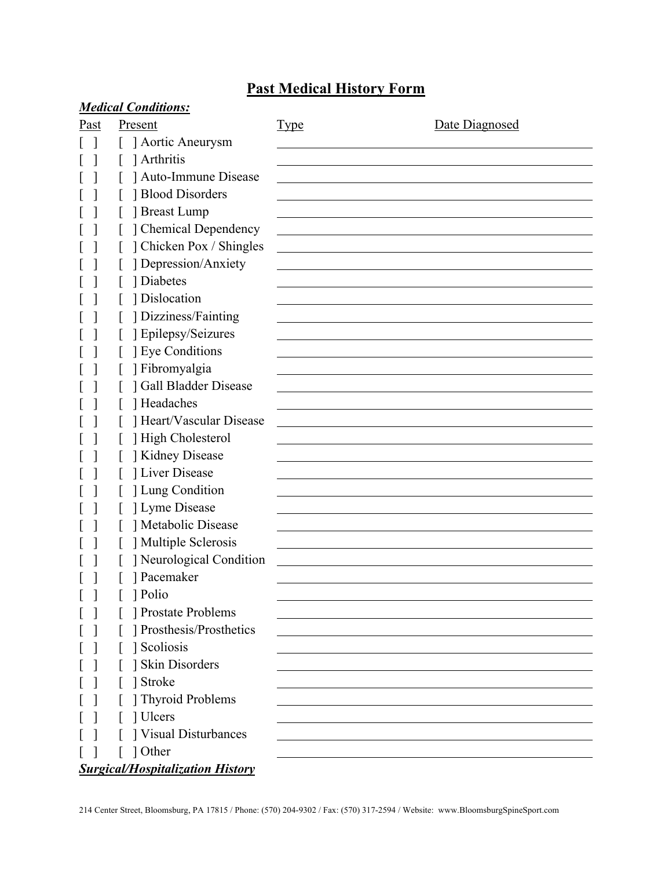## **Past Medical History Form**

|      | <b>Medical Conditions:</b>              |             |                |
|------|-----------------------------------------|-------------|----------------|
| Past | Present                                 | <b>Type</b> | Date Diagnosed |
|      | Aortic Aneurysm                         |             |                |
|      | Arthritis                               |             |                |
|      | ] Auto-Immune Disease                   |             |                |
|      | Blood Disorders                         |             |                |
|      | Breast Lump                             |             |                |
|      | ] Chemical Dependency                   |             |                |
|      | ] Chicken Pox / Shingles                |             |                |
|      | ] Depression/Anxiety                    |             |                |
|      | 1 Diabetes                              |             |                |
|      | ] Dislocation                           |             |                |
|      | ] Dizziness/Fainting                    |             |                |
|      | ] Epilepsy/Seizures                     |             |                |
|      | <b>J</b> Eye Conditions                 |             |                |
|      | ] Fibromyalgia                          |             |                |
|      | <b>Gall Bladder Disease</b>             |             |                |
|      | Headaches                               |             |                |
|      | Heart/Vascular Disease                  |             |                |
|      | ] High Cholesterol                      |             |                |
|      | Kidney Disease                          |             |                |
|      | Liver Disease                           |             |                |
|      | ] Lung Condition                        |             |                |
|      | ] Lyme Disease                          |             |                |
|      | Metabolic Disease                       |             |                |
|      | Multiple Sclerosis                      |             |                |
|      | ] Neurological Condition                |             |                |
|      | ] Pacemaker                             |             |                |
|      | ] Polio                                 |             |                |
|      | <b>Prostate Problems</b>                |             |                |
|      | ] Prosthesis/Prosthetics                |             |                |
|      | 1 Scoliosis                             |             |                |
|      | ] Skin Disorders                        |             |                |
|      | Stroke                                  |             |                |
|      | Thyroid Problems                        |             |                |
|      | ] Ulcers                                |             |                |
|      | Visual Disturbances                     |             |                |
|      | 1 Other                                 |             |                |
|      | <b>Surgical/Hospitalization History</b> |             |                |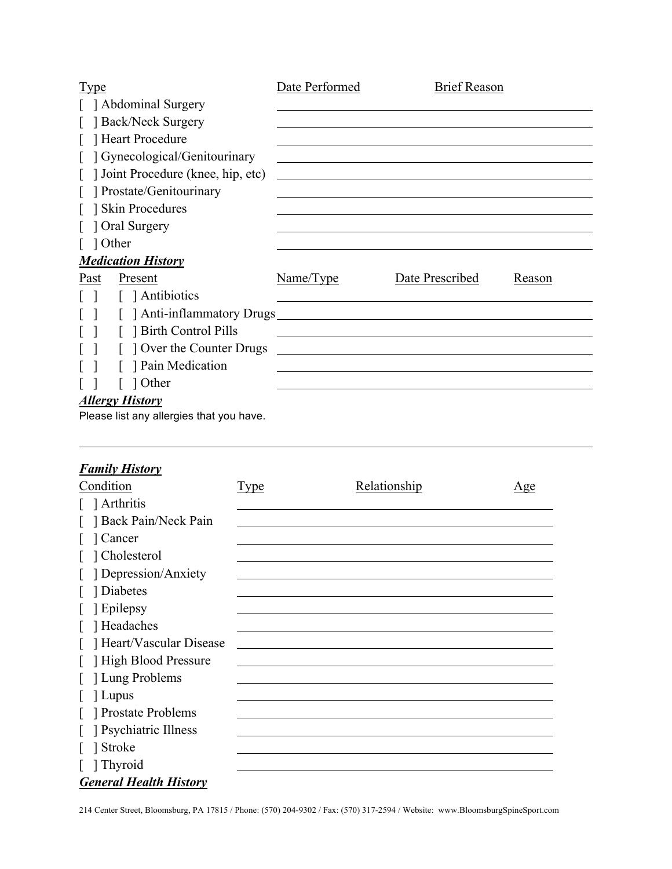| <b>Type</b>                              | Date Performed | <b>Brief Reason</b> |        |
|------------------------------------------|----------------|---------------------|--------|
| [ ] Abdominal Surgery                    |                |                     |        |
| [ ] Back/Neck Surgery                    |                |                     |        |
| [ ] Heart Procedure                      |                |                     |        |
| [ ] Gynecological/Genitourinary          |                |                     |        |
| Joint Procedure (knee, hip, etc)         |                |                     |        |
| [ ] Prostate/Genitourinary               |                |                     |        |
| Skin Procedures                          |                |                     |        |
| 1 Oral Surgery                           |                |                     |        |
| $\lceil$ 1 Other                         |                |                     |        |
| <b>Medication History</b>                |                |                     |        |
| Past<br>Present                          | Name/Type      | Date Prescribed     | Reason |
| [ ] Antibiotics<br>$\mathbf{1}$          |                |                     |        |
| [ ] Anti-inflammatory Drugs              |                |                     |        |
| [ ] Birth Control Pills                  |                |                     |        |
| Over the Counter Drugs                   |                |                     |        |
| Pain Medication                          |                |                     |        |
| 1 Other                                  |                |                     |        |
| <b>Allergy History</b>                   |                |                     |        |
| Please list any allergies that you have. |                |                     |        |

### *Family History*

| Condition                     | <u>Type</u> | Relationship | <u>Age</u> |
|-------------------------------|-------------|--------------|------------|
| Arthritis                     |             |              |            |
| Back Pain/Neck Pain           |             |              |            |
| Cancer                        |             |              |            |
| ] Cholesterol                 |             |              |            |
| Depression/Anxiety            |             |              |            |
| 1 Diabetes                    |             |              |            |
| 1 Epilepsy                    |             |              |            |
| [ ] Headaches                 |             |              |            |
| Heart/Vascular Disease        |             |              |            |
| High Blood Pressure           |             |              |            |
| [ ] Lung Problems             |             |              |            |
| 1 Lupus                       |             |              |            |
| Prostate Problems             |             |              |            |
| Psychiatric Illness           |             |              |            |
| Stroke                        |             |              |            |
| Thyroid                       |             |              |            |
| <b>General Health History</b> |             |              |            |

214 Center Street, Bloomsburg, PA 17815 / Phone: (570) 204-9302 / Fax: (570) 317-2594 / Website: www.BloomsburgSpineSport.com